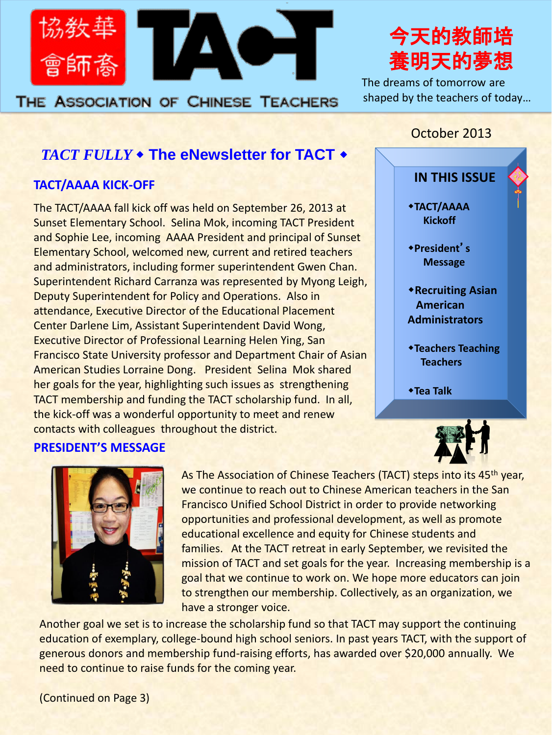

# 今天的教師培 養明天的夢想

 The dreams of tomorrow are shaped by the teachers of today…

## October 2013

## *TACT FULLY*  **The eNewsletter for TACT**

## **TACT/AAAA KICK-OFF**

The TACT/AAAA fall kick off was held on September 26, 2013 at Sunset Elementary School. Selina Mok, incoming TACT President and Sophie Lee, incoming AAAA President and principal of Sunset Elementary School, welcomed new, current and retired teachers and administrators, including former superintendent Gwen Chan. Superintendent Richard Carranza was represented by Myong Leigh, Deputy Superintendent for Policy and Operations. Also in attendance, Executive Director of the Educational Placement Center Darlene Lim, Assistant Superintendent David Wong, Executive Director of Professional Learning Helen Ying, San Francisco State University professor and Department Chair of Asian American Studies Lorraine Dong. President Selina Mok shared her goals for the year, highlighting such issues as strengthening TACT membership and funding the TACT scholarship fund. In all, the kick-off was a wonderful opportunity to meet and renew contacts with colleagues throughout the district.



#### **PRESIDENT'S MESSAGE**



As The Association of Chinese Teachers (TACT) steps into its 45<sup>th</sup> year, we continue to reach out to Chinese American teachers in the San Francisco Unified School District in order to provide networking opportunities and professional development, as well as promote educational excellence and equity for Chinese students and families. At the TACT retreat in early September, we revisited the mission of TACT and set goals for the year. Increasing membership is a goal that we continue to work on. We hope more educators can join to strengthen our membership. Collectively, as an organization, we have a stronger voice.

Another goal we set is to increase the scholarship fund so that TACT may support the continuing education of exemplary, college-bound high school seniors. In past years TACT, with the support of generous donors and membership fund-raising efforts, has awarded over \$20,000 annually. We need to continue to raise funds for the coming year.

(Continued on Page 3)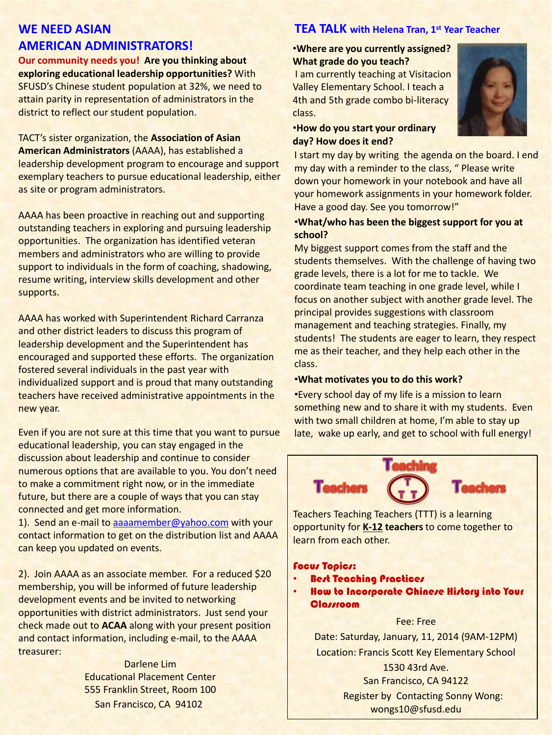## **WE NEED ASIAN AMERICAN ADMINISTRATORS!**

**Our community needs you! Are you thinking about exploring educational leadership opportunities?** With SFUSD's Chinese student population at 32%, we need to attain parity in representation of administrators in the district to reflect our student population.

TACT's sister organization, the **Association of Asian American Administrators** (AAAA), has established a leadership development program to encourage and support exemplary teachers to pursue educational leadership, either as site or program administrators.

AAAA has been proactive in reaching out and supporting outstanding teachers in exploring and pursuing leadership opportunities. The organization has identified veteran members and administrators who are willing to provide support to individuals in the form of coaching, shadowing, resume writing, interview skills development and other supports.

AAAA has worked with Superintendent Richard Carranza and other district leaders to discuss this program of leadership development and the Superintendent has encouraged and supported these efforts. The organization fostered several individuals in the past year with individualized support and is proud that many outstanding teachers have received administrative appointments in the new year.

Even if you are not sure at this time that you want to pursue educational leadership, you can stay engaged in the discussion about leadership and continue to consider numerous options that are available to you. You don't need to make a commitment right now, or in the immediate future, but there are a couple of ways that you can stay connected and get more information.

1). Send an e-mail to [aaaamember@yahoo.com](mailto:aaaamember@yahoo.com) with your contact information to get on the distribution list and AAAA can keep you updated on events.

2). Join AAAA as an associate member. For a reduced \$20 membership, you will be informed of future leadership development events and be invited to networking opportunities with district administrators. Just send your check made out to **ACAA** along with your present position and contact information, including e-mail, to the AAAA treasurer:

> Darlene Lim Educational Placement Center 555 Franklin Street, Room 100 San Francisco, CA 94102

## **TEA TALK with Helena Tran, 1 st Year Teacher**

#### •**Where are you currently assigned? What grade do you teach?**

I am currently teaching at Visitacion Valley Elementary School. I teach a 4th and 5th grade combo bi-literacy class.



#### •**How do you start your ordinary day? How does it end?**

I start my day by writing the agenda on the board. I end my day with a reminder to the class, " Please write down your homework in your notebook and have all your homework assignments in your homework folder. Have a good day. See you tomorrow!"

#### •**What/who has been the biggest support for you at school?**

My biggest support comes from the staff and the students themselves. With the challenge of having two grade levels, there is a lot for me to tackle. We coordinate team teaching in one grade level, while I focus on another subject with another grade level. The principal provides suggestions with classroom management and teaching strategies. Finally, my students! The students are eager to learn, they respect me as their teacher, and they help each other in the class.

#### •**What motivates you to do this work?**

•Every school day of my life is a mission to learn something new and to share it with my students. Even with two small children at home, I'm able to stay up late, wake up early, and get to school with full energy!



Teachers Teaching Teachers (TTT) is a learning opportunity for **K-12 teachers** to come together to learn from each other.

#### Focus Topics:

- **Best Teaching Practices**
- How to Incorporate Chinese History into Your **Classroom**

#### Fee: Free

Date: Saturday, January, 11, 2014 (9AM-12PM) Location: Francis Scott Key Elementary School 1530 43rd Ave. San Francisco, CA 94122

 Register by Contacting Sonny Wong: wongs10@sfusd.edu